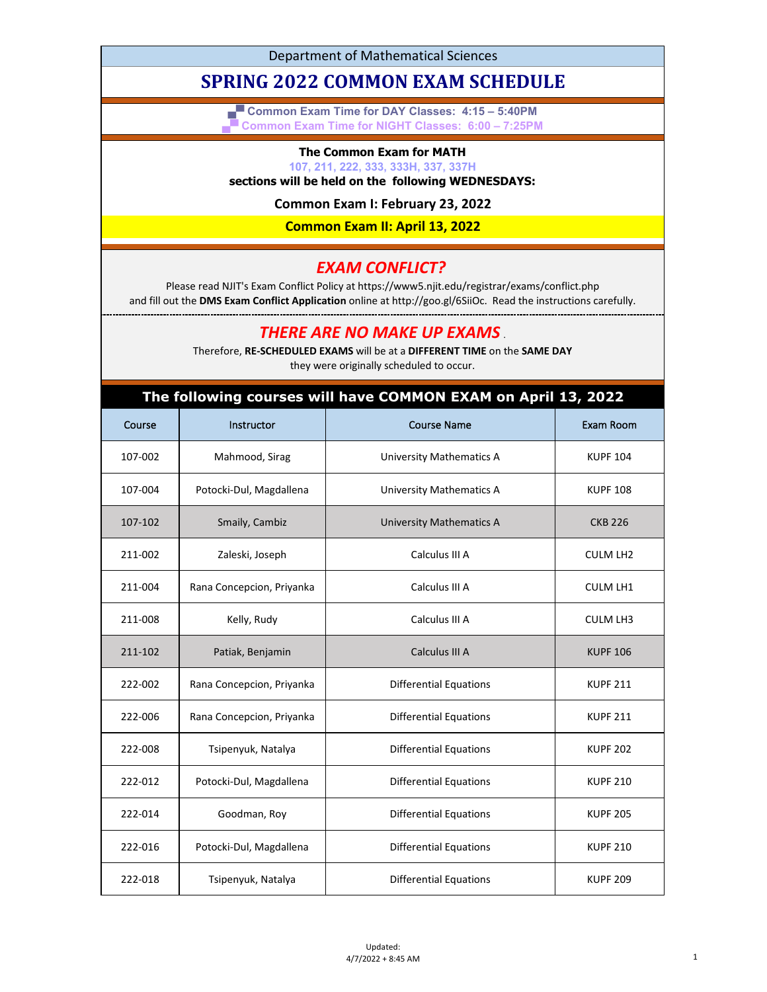Department of Mathematical Sciences

# **SPRING 2022 COMMON EXAM SCHEDULE**

**▄▀ Common Exam Time for DAY Classes: 4:15 – 5:40PM ▄▀ Common Exam Time for NIGHT Classes: 6:00 – 7:25PM**

#### **The Common Exam for MATH**

**107, 211, 222, 333, 333H, 337, 337H**

#### **sections will be held on the following WEDNESDAYS:**

**Common Exam I: February 23, 2022**

**Common Exam II: April 13, 2022**

### *EXAM CONFLICT?*

Please read NJIT's Exam Conflict Policy at https://www5.njit.edu/registrar/exams/conflict.php and fill out the **DMS Exam Conflict Application** online at http://goo.gl/6SiiOc. Read the instructions carefully.

## *THERE ARE NO MAKE UP EXAMS* .

Therefore, **RE-SCHEDULED EXAMS** will be at a **DIFFERENT TIME** on the **SAME DAY** they were originally scheduled to occur.

| The following courses will have COMMON EXAM on April 13, 2022 |                           |                                 |                 |  |
|---------------------------------------------------------------|---------------------------|---------------------------------|-----------------|--|
| Course                                                        | Instructor                | <b>Course Name</b>              | Exam Room       |  |
| 107-002                                                       | Mahmood, Sirag            | <b>University Mathematics A</b> | <b>KUPF 104</b> |  |
| 107-004                                                       | Potocki-Dul, Magdallena   | <b>University Mathematics A</b> | <b>KUPF 108</b> |  |
| 107-102                                                       | Smaily, Cambiz            | <b>University Mathematics A</b> | <b>CKB 226</b>  |  |
| 211-002                                                       | Zaleski, Joseph           | Calculus III A                  | <b>CULM LH2</b> |  |
| 211-004                                                       | Rana Concepcion, Priyanka | Calculus III A                  | <b>CULM LH1</b> |  |
| 211-008                                                       | Kelly, Rudy               | Calculus III A                  | <b>CULM LH3</b> |  |
| 211-102                                                       | Patiak, Benjamin          | Calculus III A                  | <b>KUPF 106</b> |  |
| 222-002                                                       | Rana Concepcion, Priyanka | <b>Differential Equations</b>   | <b>KUPF 211</b> |  |
| 222-006                                                       | Rana Concepcion, Priyanka | <b>Differential Equations</b>   | <b>KUPF 211</b> |  |
| 222-008                                                       | Tsipenyuk, Natalya        | <b>Differential Equations</b>   | <b>KUPF 202</b> |  |
| 222-012                                                       | Potocki-Dul, Magdallena   | <b>Differential Equations</b>   | <b>KUPF 210</b> |  |
| 222-014                                                       | Goodman, Roy              | <b>Differential Equations</b>   | <b>KUPF 205</b> |  |
| 222-016                                                       | Potocki-Dul, Magdallena   | <b>Differential Equations</b>   | <b>KUPF 210</b> |  |
| 222-018                                                       | Tsipenyuk, Natalya        | <b>Differential Equations</b>   | <b>KUPF 209</b> |  |